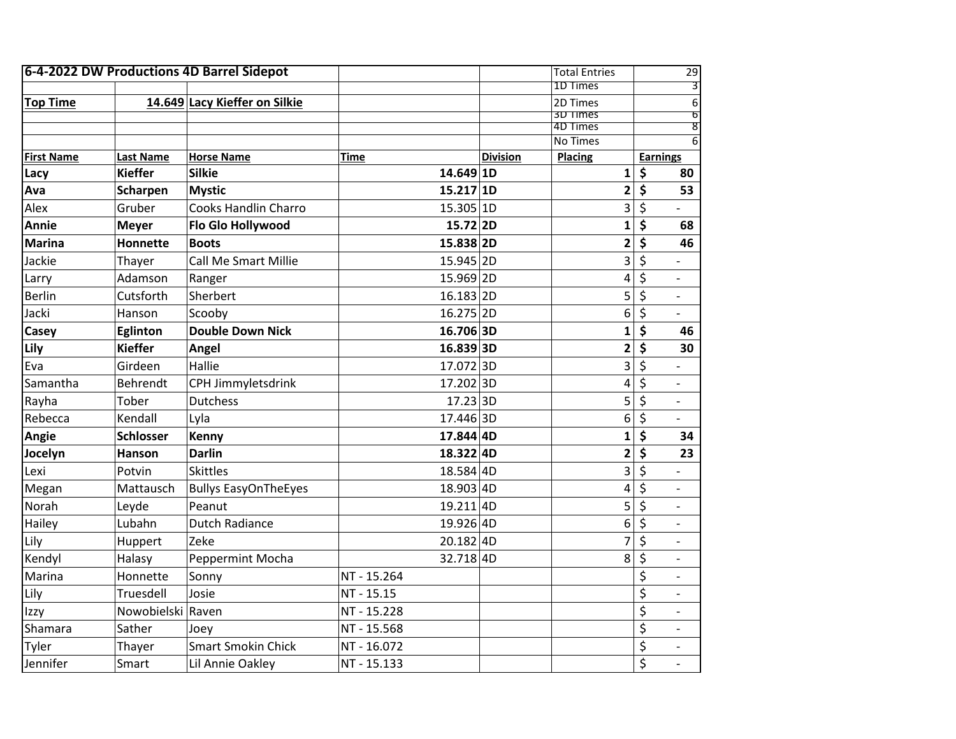| 6-4-2022 DW Productions 4D Barrel Sidepot |                   |                               |             |                 | <b>Total Entries</b>    | 29                                          |
|-------------------------------------------|-------------------|-------------------------------|-------------|-----------------|-------------------------|---------------------------------------------|
|                                           |                   |                               |             |                 | 1D Times                | 3                                           |
| <b>Top Time</b>                           |                   | 14.649 Lacy Kieffer on Silkie |             |                 | 2D Times                | 6                                           |
|                                           |                   |                               |             |                 | 3D Times<br>4D Times    | $\overline{\mathfrak{b}}$<br>$\overline{8}$ |
|                                           |                   |                               |             |                 | <b>No Times</b>         | $\overline{6}$                              |
| <b>First Name</b>                         | <b>Last Name</b>  | <b>Horse Name</b>             | Time        | <b>Division</b> | <b>Placing</b>          | Earnings                                    |
| Lacy                                      | <b>Kieffer</b>    | <b>Silkie</b>                 | 14.649 1D   |                 | 1                       | \$<br>80                                    |
| Ava                                       | Scharpen          | <b>Mystic</b>                 | 15.217 1D   |                 | $\mathbf{2}$            | \$<br>53                                    |
| Alex                                      | Gruber            | <b>Cooks Handlin Charro</b>   | 15.305 1D   |                 | 3                       | \$                                          |
| <b>Annie</b>                              | <b>Meyer</b>      | Flo Glo Hollywood             | 15.72 2D    |                 | $\mathbf{1}$            | \$<br>68                                    |
| <b>Marina</b>                             | <b>Honnette</b>   | <b>Boots</b>                  | 15.838 2D   |                 | $\overline{\mathbf{2}}$ | \$<br>46                                    |
| Jackie                                    | Thayer            | <b>Call Me Smart Millie</b>   | 15.945 2D   |                 | 3                       | \$                                          |
| Larry                                     | Adamson           | Ranger                        | 15.969 2D   |                 | 4                       | \$<br>$\overline{\phantom{0}}$              |
| <b>Berlin</b>                             | Cutsforth         | Sherbert                      | 16.183 2D   |                 | 5                       | \$<br>$\overline{\phantom{0}}$              |
| Jacki                                     | Hanson            | Scooby                        | 16.275 2D   |                 | 6                       | \$                                          |
| Casey                                     | <b>Eglinton</b>   | <b>Double Down Nick</b>       | 16.706 3D   |                 | $\mathbf{1}$            | \$<br>46                                    |
| Lily                                      | <b>Kieffer</b>    | Angel                         | 16.8393D    |                 | $\overline{\mathbf{2}}$ | \$<br>30                                    |
| Eva                                       | Girdeen           | Hallie                        | 17.0723D    |                 | 3                       | \$                                          |
| Samantha                                  | Behrendt          | CPH Jimmyletsdrink            | 17.202 3D   |                 | 4                       | \$                                          |
| Rayha                                     | Tober             | <b>Dutchess</b>               | 17.233D     |                 | 5                       | \$<br>$\overline{\phantom{a}}$              |
| Rebecca                                   | Kendall           | Lyla                          | 17.446 3D   |                 | 6                       | \$                                          |
| Angie                                     | <b>Schlosser</b>  | Kenny                         | 17.844 4D   |                 | $\mathbf{1}$            | \$<br>34                                    |
| Jocelyn                                   | Hanson            | <b>Darlin</b>                 | 18.322 4D   |                 | 2                       | \$<br>23                                    |
| Lexi                                      | Potvin            | <b>Skittles</b>               | 18.584 4D   |                 | 3                       | \$                                          |
| Megan                                     | Mattausch         | <b>Bullys EasyOnTheEyes</b>   | 18.903 4D   |                 | 4                       | \$                                          |
| Norah                                     | Leyde             | Peanut                        | 19.2114D    |                 | 5                       | \$<br>$\overline{\phantom{a}}$              |
| Hailey                                    | Lubahn            | <b>Dutch Radiance</b>         | 19.926 4D   |                 | 6                       | \$<br>$\overline{\phantom{0}}$              |
| Lily                                      | Huppert           | Zeke                          | 20.182 4D   |                 | 7                       | \$<br>$\overline{\phantom{0}}$              |
| Kendyl                                    | Halasy            | <b>Peppermint Mocha</b>       | 32.718 4D   |                 | 8                       | \$                                          |
| Marina                                    | Honnette          | Sonny                         | NT - 15.264 |                 |                         | \$<br>$\overline{a}$                        |
| Lily                                      | Truesdell         | Josie                         | NT - 15.15  |                 |                         | \$                                          |
| Izzy                                      | Nowobielski Raven |                               | NT - 15.228 |                 |                         | \$                                          |
| Shamara                                   | Sather            | Joey                          | NT - 15.568 |                 |                         | \$<br>$\overline{\phantom{a}}$              |
| Tyler                                     | Thayer            | <b>Smart Smokin Chick</b>     | NT - 16.072 |                 |                         | \$                                          |
| Jennifer                                  | Smart             | Lil Annie Oakley              | NT - 15.133 |                 |                         | \$                                          |